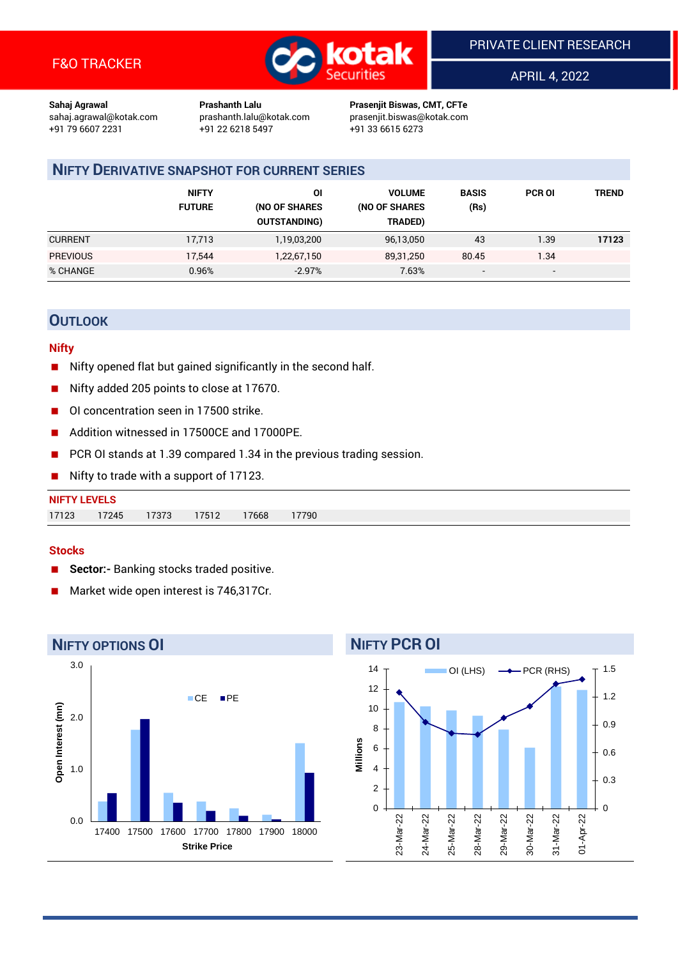

APRIL 4, 2022

**Sahaj Agrawal Prashanth Lalu Prasenjit Biswas, CMT, CFTe** +91 22 6218 5497 +91 33 6615 6273

sahaj.agrawal@kotak.com [prashanth.lalu@kotak.com](mailto:prashanth.lalu@kotak.com) prasenjit.biswas@kotak.com

### **NIFTY DERIVATIVE SNAPSHOT FOR CURRENT SERIES**

|                 | <b>NIFTY</b><br><b>FUTURE</b> | ΟI<br>(NO OF SHARES<br><b>OUTSTANDING)</b> | <b>VOLUME</b><br>(NO OF SHARES<br>TRADED) | <b>BASIS</b><br>(Rs)     | <b>PCR OI</b>            | <b>TREND</b> |
|-----------------|-------------------------------|--------------------------------------------|-------------------------------------------|--------------------------|--------------------------|--------------|
| <b>CURRENT</b>  | 17,713                        | 1,19,03,200                                | 96,13,050                                 | 43                       | 1.39                     | 17123        |
| <b>PREVIOUS</b> | 17,544                        | 1,22,67,150                                | 89,31,250                                 | 80.45                    | 1.34                     |              |
| % CHANGE        | 0.96%                         | $-2.97%$                                   | 7.63%                                     | $\overline{\phantom{a}}$ | $\overline{\phantom{0}}$ |              |

### **OUTLOOK**

#### **Nifty**

- Nifty opened flat but gained significantly in the second half.
- Nifty added 205 points to close at 17670.
- OI concentration seen in 17500 strike.
- Addition witnessed in 17500CE and 17000PE.
- PCR OI stands at 1.39 compared 1.34 in the previous trading session.
- Nifty to trade with a support of 17123.

| <b>NIFTY LEVELS</b> |       |       |       |       |       |
|---------------------|-------|-------|-------|-------|-------|
| 17123               | 17245 | 17373 | 17512 | 17668 | 17790 |

#### **Stocks**

- **Sector:-** Banking stocks traded positive.
- Market wide open interest is 746,317Cr.



# **NIFTY PCR OI**

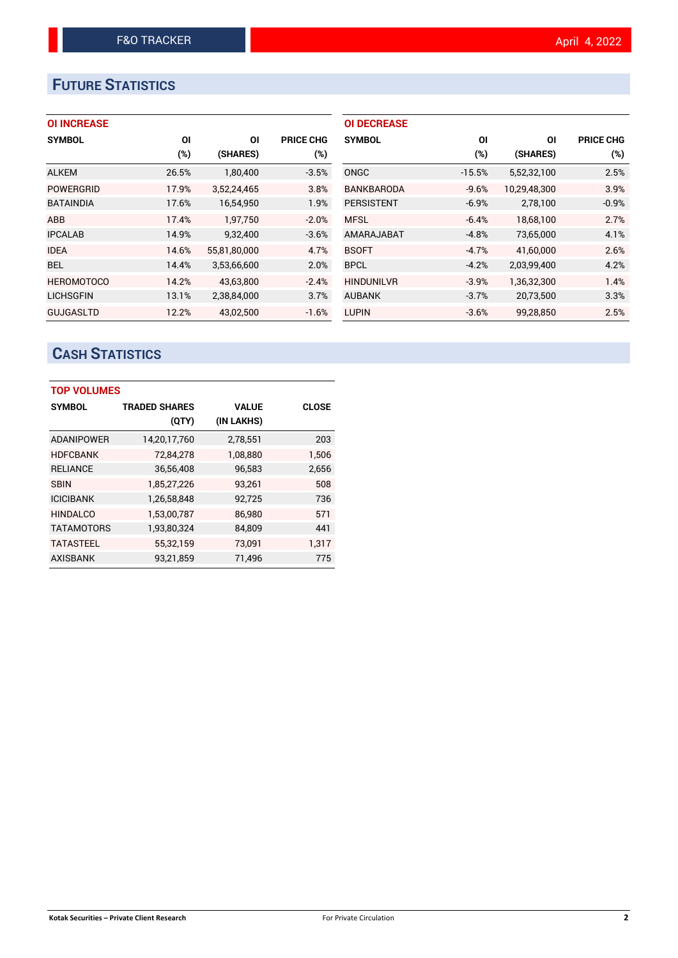# **FUTURE STATISTICS**

#### **OI INCREASE**

| <b>SYMBOL</b>     | OI    | ΟI           | <b>PRICE CHG</b> |
|-------------------|-------|--------------|------------------|
|                   | (%)   | (SHARES)     | $(\%)$           |
| <b>ALKEM</b>      | 26.5% | 1,80,400     | $-3.5%$          |
| <b>POWERGRID</b>  | 17.9% | 3,52,24,465  | 3.8%             |
| <b>BATAINDIA</b>  | 17.6% | 16,54,950    | 1.9%             |
| <b>ABB</b>        | 17.4% | 1,97,750     | $-2.0%$          |
| <b>IPCALAB</b>    | 14.9% | 9,32,400     | $-3.6%$          |
| <b>IDEA</b>       | 14.6% | 55,81,80,000 | 4.7%             |
| <b>BEL</b>        | 14.4% | 3,53,66,600  | 2.0%             |
| <b>HEROMOTOCO</b> | 14.2% | 43,63,800    | $-2.4%$          |
| <b>LICHSGFIN</b>  | 13.1% | 2,38,84,000  | 3.7%             |
| <b>GUJGASLTD</b>  | 12.2% | 43,02,500    | $-1.6%$          |

| <b>OI DECREASE</b> |          |              |                  |
|--------------------|----------|--------------|------------------|
| <b>SYMBOL</b>      | ΟI       | ΟI           | <b>PRICE CHG</b> |
|                    | (%)      | (SHARES)     | $(\%)$           |
| ONGC               | $-15.5%$ | 5,52,32,100  | 2.5%             |
| BANKBARODA         | $-9.6%$  | 10,29,48,300 | 3.9%             |
| <b>PERSISTENT</b>  | $-6.9%$  | 2,78,100     | $-0.9%$          |
| <b>MFSL</b>        | $-6.4%$  | 18.68.100    | 2.7%             |
| AMARAJABAT         | $-4.8%$  | 73,65,000    | 4.1%             |
| <b>BSOFT</b>       | $-4.7%$  | 41,60,000    | 2.6%             |
| <b>BPCL</b>        | $-4.2%$  | 2,03,99,400  | 4.2%             |
| <b>HINDUNILVR</b>  | $-3.9%$  | 1,36,32,300  | 1.4%             |
| <b>AUBANK</b>      | $-3.7%$  | 20,73,500    | 3.3%             |
| <b>LUPIN</b>       | $-3.6%$  | 99,28,850    | 2.5%             |

# **CASH STATISTICS**

| <b>TOP VOLUMES</b> |                      |              |              |  |  |  |  |
|--------------------|----------------------|--------------|--------------|--|--|--|--|
| <b>SYMBOL</b>      | <b>TRADED SHARES</b> | <b>VALUE</b> | <b>CLOSE</b> |  |  |  |  |
|                    | (QTY)                | (IN LAKHS)   |              |  |  |  |  |
| <b>ADANIPOWER</b>  | 14,20,17,760         | 2,78,551     | 203          |  |  |  |  |
| <b>HDFCBANK</b>    | 72,84,278            | 1,08,880     | 1,506        |  |  |  |  |
| <b>RELIANCE</b>    | 36,56,408            | 96,583       | 2,656        |  |  |  |  |
| SBIN               | 1,85,27,226          | 93,261       | 508          |  |  |  |  |
| <b>ICICIBANK</b>   | 1,26,58,848          | 92,725       | 736          |  |  |  |  |
| <b>HINDALCO</b>    | 1,53,00,787          | 86,980       | 571          |  |  |  |  |
| <b>TATAMOTORS</b>  | 1,93,80,324          | 84,809       | 441          |  |  |  |  |
| <b>TATASTEEL</b>   | 55,32,159            | 73.091       | 1.317        |  |  |  |  |
| <b>AXISBANK</b>    | 93,21,859            | 71,496       | 775          |  |  |  |  |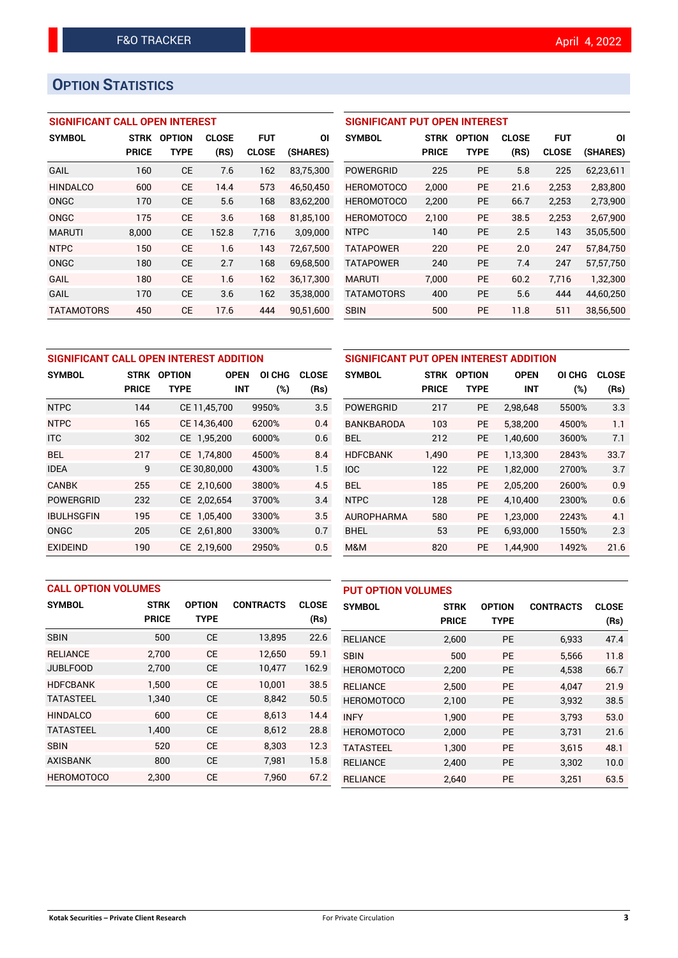## **OPTION STATISTICS**

#### **SIGNIFICANT CALL OPEN INTEREST**

| <b>SYMBOL</b>     | <b>STRK</b>  | <b>OPTION</b> | <b>CLOSE</b> | <b>FUT</b>   | ΟI        |
|-------------------|--------------|---------------|--------------|--------------|-----------|
|                   | <b>PRICE</b> | <b>TYPE</b>   | (RS)         | <b>CLOSE</b> | (SHARES)  |
| GAIL              | 160          | <b>CE</b>     | 7.6          | 162          | 83,75,300 |
| <b>HINDALCO</b>   | 600          | CE            | 14.4         | 573          | 46,50,450 |
| ONGC              | 170          | CE            | 5.6          | 168          | 83,62,200 |
| ONGC              | 175          | CF            | 3.6          | 168          | 81,85,100 |
| <b>MARUTI</b>     | 8,000        | CE            | 152.8        | 7,716        | 3,09,000  |
| <b>NTPC</b>       | 150          | CF            | 1.6          | 143          | 72.67.500 |
| ONGC              | 180          | CE            | 2.7          | 168          | 69,68,500 |
| GAIL              | 180          | CF.           | 1.6          | 162          | 36,17,300 |
| GAIL              | 170          | CE            | 3.6          | 162          | 35,38,000 |
| <b>TATAMOTORS</b> | 450          | СE            | 17.6         | 444          | 90.51.600 |

| <b>SIGNIFICANT PUT OPEN INTEREST</b> |              |               |              |              |           |  |  |  |  |
|--------------------------------------|--------------|---------------|--------------|--------------|-----------|--|--|--|--|
| <b>SYMBOL</b>                        | <b>STRK</b>  | <b>OPTION</b> | <b>CLOSE</b> | <b>FUT</b>   | ΟI        |  |  |  |  |
|                                      | <b>PRICE</b> | TYPE          | (RS)         | <b>CLOSE</b> | (SHARES)  |  |  |  |  |
| <b>POWERGRID</b>                     | 225          | <b>PE</b>     | 5.8          | 225          | 62,23,611 |  |  |  |  |
| <b>HEROMOTOCO</b>                    | 2,000        | <b>PE</b>     | 21.6         | 2,253        | 2,83,800  |  |  |  |  |
| <b>HEROMOTOCO</b>                    | 2,200        | PE            | 66.7         | 2,253        | 2,73,900  |  |  |  |  |
| <b>HEROMOTOCO</b>                    | 2.100        | <b>PE</b>     | 38.5         | 2.253        | 2,67,900  |  |  |  |  |
| <b>NTPC</b>                          | 140          | <b>PE</b>     | 2.5          | 143          | 35,05,500 |  |  |  |  |
| <b>TATAPOWER</b>                     | 220          | <b>PE</b>     | 2.0          | 247          | 57,84,750 |  |  |  |  |
| <b>TATAPOWER</b>                     | 240          | <b>PE</b>     | 7.4          | 247          | 57,57,750 |  |  |  |  |
| <b>MARUTI</b>                        | 7,000        | <b>PE</b>     | 60.2         | 7,716        | 1,32,300  |  |  |  |  |
| <b>TATAMOTORS</b>                    | 400          | <b>PE</b>     | 5.6          | 444          | 44,60,250 |  |  |  |  |
| <b>SBIN</b>                          | 500          | PF            | 11.8         | 511          | 38,56,500 |  |  |  |  |

| SIGNIFICANT CALL OPEN INTEREST ADDITION |              |               |              |        |              |              |  |  |
|-----------------------------------------|--------------|---------------|--------------|--------|--------------|--------------|--|--|
| <b>SYMBOL</b>                           | <b>STRK</b>  | <b>OPTION</b> | <b>OPEN</b>  | OI CHG | <b>CLOSE</b> | S            |  |  |
|                                         | <b>PRICE</b> | <b>TYPE</b>   | <b>INT</b>   | (%)    | (Rs)         |              |  |  |
| <b>NTPC</b>                             | 144          |               | CE 11,45,700 | 9950%  | 3.5          | P            |  |  |
| <b>NTPC</b>                             | 165          |               | CE 14,36,400 | 6200%  | 0.4          | B            |  |  |
| <b>ITC</b>                              | 302          |               | CE 1,95,200  | 6000%  | 0.6          | B            |  |  |
| <b>BEL</b>                              | 217          |               | CE 1,74,800  | 4500%  | 8.4          | Н            |  |  |
| <b>IDEA</b>                             | 9            |               | CE 30,80,000 | 4300%  | 1.5          | $\mathsf{I}$ |  |  |
| <b>CANBK</b>                            | 255          |               | CE 2,10,600  | 3800%  | 4.5          | B            |  |  |
| <b>POWERGRID</b>                        | 232          |               | CE 2,02,654  | 3700%  | 3.4          | N            |  |  |
| <b>IBULHSGFIN</b>                       | 195          |               | CE 1,05,400  | 3300%  | 3.5          | A            |  |  |
| <b>ONGC</b>                             | 205          |               | CE 2,61,800  | 3300%  | 0.7          | B            |  |  |
| <b>EXIDEIND</b>                         | 190          |               | CE 2.19.600  | 2950%  | 0.5          | N            |  |  |

| SIGNIFICANT PUT OPEN INTEREST ADDITION |              |               |             |        |              |  |  |  |  |
|----------------------------------------|--------------|---------------|-------------|--------|--------------|--|--|--|--|
| <b>SYMBOL</b>                          | <b>STRK</b>  | <b>OPTION</b> | <b>OPEN</b> | OI CHG | <b>CLOSE</b> |  |  |  |  |
|                                        | <b>PRICE</b> | <b>TYPE</b>   | <b>INT</b>  | (%)    | (Rs)         |  |  |  |  |
| POWERGRID                              | 217          | <b>PE</b>     | 2,98,648    | 5500%  | 3.3          |  |  |  |  |
| <b>BANKBARODA</b>                      | 103          | <b>PE</b>     | 5,38,200    | 4500%  | 1.1          |  |  |  |  |
| BFI.                                   | 212          | <b>PE</b>     | 1.40.600    | 3600%  | 7.1          |  |  |  |  |
| <b>HDFCBANK</b>                        | 1,490        | <b>PE</b>     | 1.13.300    | 2843%  | 33.7         |  |  |  |  |
| <b>IOC</b>                             | 122          | <b>PE</b>     | 1,82,000    | 2700%  | 3.7          |  |  |  |  |
| <b>BFI</b>                             | 185          | <b>PE</b>     | 2,05,200    | 2600%  | 0.9          |  |  |  |  |
| <b>NTPC</b>                            | 128          | <b>PE</b>     | 4,10,400    | 2300%  | 0.6          |  |  |  |  |
| <b>AUROPHARMA</b>                      | 580          | <b>PE</b>     | 1,23,000    | 2243%  | 4.1          |  |  |  |  |
| <b>BHEL</b>                            | 53           | <b>PE</b>     | 6,93,000    | 1550%  | 2.3          |  |  |  |  |
| M&M                                    | 820          | <b>PE</b>     | 1,44,900    | 1492%  | 21.6         |  |  |  |  |

|                   | <b>CALL OPTION VOLUMES</b> |               |                  |              |                   | <b>PUT OPTION VOLUMES</b> |               |                  |              |  |
|-------------------|----------------------------|---------------|------------------|--------------|-------------------|---------------------------|---------------|------------------|--------------|--|
| <b>SYMBOL</b>     | <b>STRK</b>                | <b>OPTION</b> | <b>CONTRACTS</b> | <b>CLOSE</b> | <b>SYMBOL</b>     | <b>STRK</b>               | <b>OPTION</b> | <b>CONTRACTS</b> | <b>CLOSE</b> |  |
|                   | <b>PRICE</b>               | <b>TYPE</b>   |                  | (Rs)         |                   | <b>PRICE</b>              | <b>TYPE</b>   |                  | (Rs)         |  |
| <b>SBIN</b>       | 500                        | <b>CE</b>     | 13,895           | 22.6         | <b>RELIANCE</b>   | 2,600                     | <b>PE</b>     | 6,933            | 47.4         |  |
| <b>RELIANCE</b>   | 2.700                      | <b>CE</b>     | 12,650           | 59.1         | <b>SBIN</b>       | 500                       | <b>PE</b>     | 5.566            | 11.8         |  |
| <b>JUBLFOOD</b>   | 2,700                      | <b>CE</b>     | 10,477           | 162.9        | <b>HEROMOTOCO</b> | 2,200                     | <b>PE</b>     | 4,538            | 66.7         |  |
| <b>HDFCBANK</b>   | 1.500                      | <b>CE</b>     | 10.001           | 38.5         | <b>RELIANCE</b>   | 2.500                     | <b>PE</b>     | 4.047            | 21.9         |  |
| <b>TATASTEEL</b>  | 1,340                      | <b>CE</b>     | 8,842            | 50.5         | <b>HEROMOTOCO</b> | 2,100                     | <b>PE</b>     | 3,932            | 38.5         |  |
| <b>HINDALCO</b>   | 600                        | <b>CE</b>     | 8.613            | 14.4         | <b>INFY</b>       | 1.900                     | <b>PE</b>     | 3.793            | 53.0         |  |
| <b>TATASTEEL</b>  | 1,400                      | <b>CE</b>     | 8,612            | 28.8         | <b>HEROMOTOCO</b> | 2,000                     | PE            | 3,731            | 21.6         |  |
| <b>SBIN</b>       | 520                        | <b>CE</b>     | 8.303            | 12.3         | <b>TATASTEEL</b>  | 1,300                     | <b>PE</b>     | 3,615            | 48.1         |  |
| <b>AXISBANK</b>   | 800                        | <b>CE</b>     | 7,981            | 15.8         | <b>RELIANCE</b>   | 2,400                     | PE            | 3,302            | 10.0         |  |
| <b>HEROMOTOCO</b> | 2.300                      | <b>CE</b>     | 7.960            | 67.2         | <b>RELIANCE</b>   | 2,640                     | <b>PE</b>     | 3,251            | 63.5         |  |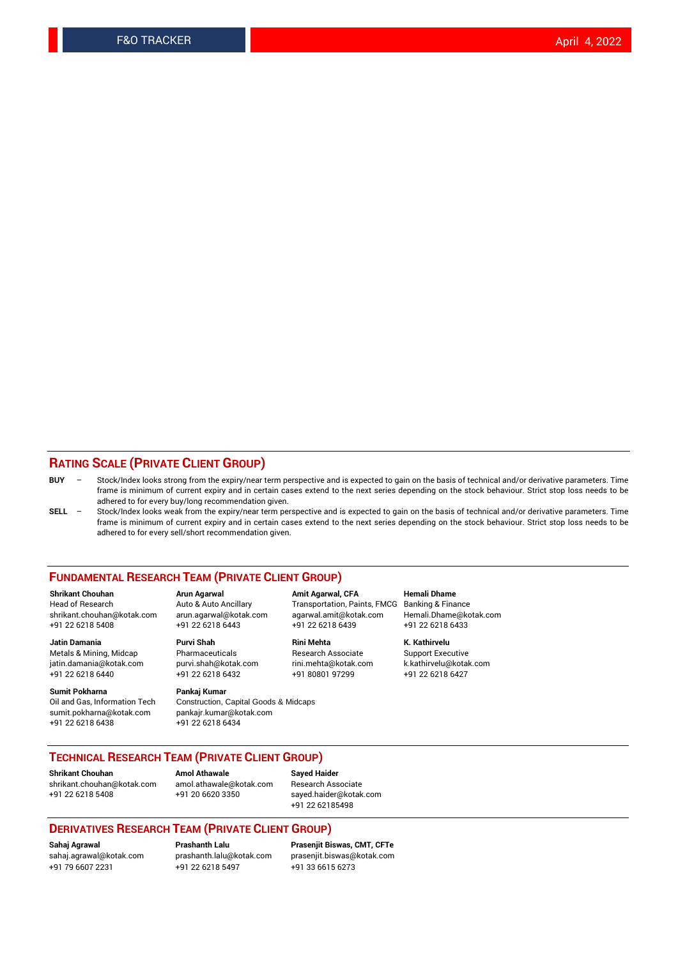#### **RATING SCALE (PRIVATE CLIENT GROUP)**

- **BUY**  Stock/Index looks strong from the expiry/near term perspective and is expected to gain on the basis of technical and/or derivative parameters. Time frame is minimum of current expiry and in certain cases extend to the next series depending on the stock behaviour. Strict stop loss needs to be adhered to for every buy/long recommendation given.
- **SELL** Stock/Index looks weak from the expiry/near term perspective and is expected to gain on the basis of technical and/or derivative parameters. Time frame is minimum of current expiry and in certain cases extend to the next series depending on the stock behaviour. Strict stop loss needs to be adhered to for every sell/short recommendation given.

#### **FUNDAMENTAL RESEARCH TEAM (PRIVATE CLIENT GROUP)**

**Shrikant Chouhan Arun Agarwal Amit Agarwal, CFA Hemali Dhame** shrikant.chouhan@kotak.com arun.agarwal@kotak.com agarwal.amit@kotak.com Hemali.Dhame@kotak.com +91 22 6218 5408 +91 22 6218 6443 +91 22 6218 6439 +91 22 6218 6433

Metals & Mining, Midcap Pharmaceuticals Pharmaceuticals Research Associate Support Executive<br>
iatin.damania@kotak.com purvi.shah@kotak.com rini.mehta@kotak.com k.kathirvelu@kotak.com jatin.damania@kotak.com

**Sumit Pokharna** Pankaj Kumar<br>Oil and Gas, Information Tech Construction, sumit.pokharna@kotak.com pankajr.kumar@kotak.com +91 22 6218 6438 +91 22 6218 6434

# **Jatin Damania Purvi Shah Rini Mehta K. Kathirvelu**

Construction, Capital Goods & Midcaps

Transportation, Paints, FMCG

+91 22 6218 6440 +91 22 6218 6432 +91 80801 97299 +91 22 6218 6427

#### **TECHNICAL RESEARCH TEAM (PRIVATE CLIENT GROUP)**

[shrikant.chouhan@kotak.com](mailto:shrikant.chouhan@kotak.com) [amol.athawale@kotak.com](mailto:amol.athawale@kotak.com) Research Associate +91 22 6218 5408 +91 20 6620 3350 [sayed.haider@kotak.com](mailto:sayed.haider@kotak.com)

**Shrikant Chouhan Amol Athawale Sayed Haider**

+91 22 62185498

#### **DERIVATIVES RESEARCH TEAM (PRIVATE CLIENT GROUP)**

+91 79 6607 2231 +91 22 6218 5497 +91 33 6615 6273

**Sahaj Agrawal Prashanth Lalu Prasenjit Biswas, CMT, CFTe** [prasenjit.biswas@kotak.com](mailto:prasenjit.biswas@kotak.com)